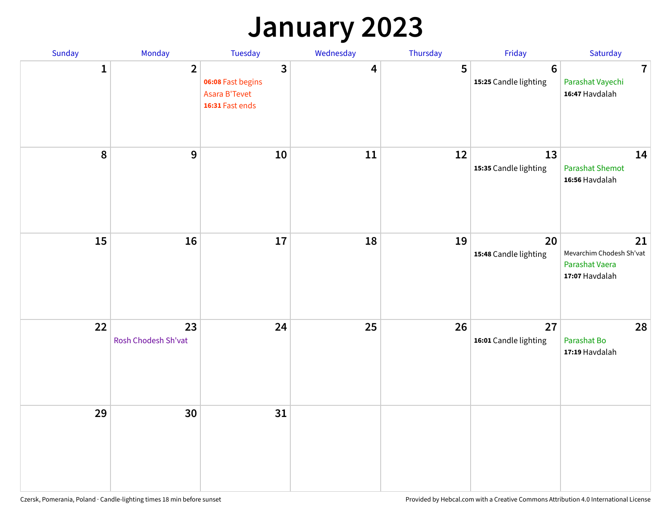## **January 2023**

| Sunday           | Monday                    | Tuesday                                                                                 | Wednesday | Thursday | Friday                                   | Saturday                                                           |
|------------------|---------------------------|-----------------------------------------------------------------------------------------|-----------|----------|------------------------------------------|--------------------------------------------------------------------|
| 1                | $\overline{2}$            | $\overline{\mathbf{3}}$<br>06:08 Fast begins<br><b>Asara B'Tevet</b><br>16:31 Fast ends | 4         | 5        | $6\phantom{1}6$<br>15:25 Candle lighting | $\overline{7}$<br>Parashat Vayechi<br>16:47 Havdalah               |
| $\boldsymbol{8}$ | $\boldsymbol{9}$          | 10                                                                                      | 11        | 12       | 13<br>15:35 Candle lighting              | 14<br><b>Parashat Shemot</b><br>16:56 Havdalah                     |
| 15               | 16                        | 17                                                                                      | 18        | 19       | 20<br>15:48 Candle lighting              | 21<br>Mevarchim Chodesh Sh'vat<br>Parashat Vaera<br>17:07 Havdalah |
| 22               | 23<br>Rosh Chodesh Sh'vat | 24                                                                                      | 25        | 26       | 27<br>16:01 Candle lighting              | 28<br>Parashat Bo<br>17:19 Havdalah                                |
| 29               | 30                        | 31                                                                                      |           |          |                                          |                                                                    |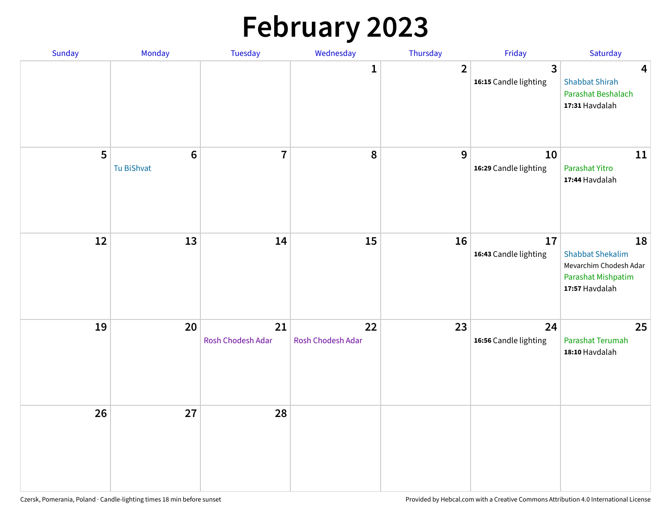# **February 2023**

| Sunday | Monday                        | Tuesday                 | Wednesday               | Thursday       | Friday                                  | Saturday                                                                                        |
|--------|-------------------------------|-------------------------|-------------------------|----------------|-----------------------------------------|-------------------------------------------------------------------------------------------------|
|        |                               |                         | 1                       | $\overline{2}$ | $\overline{3}$<br>16:15 Candle lighting | $\overline{\mathbf{4}}$<br><b>Shabbat Shirah</b><br>Parashat Beshalach<br>17:31 Havdalah        |
| 5      | $6\phantom{1}6$<br>Tu BiShvat | $\overline{7}$          | 8                       | 9              | 10<br>16:29 Candle lighting             | 11<br>Parashat Yitro<br>17:44 Havdalah                                                          |
| 12     | 13                            | 14                      | 15                      | 16             | 17<br>16:43 Candle lighting             | 18<br><b>Shabbat Shekalim</b><br>Mevarchim Chodesh Adar<br>Parashat Mishpatim<br>17:57 Havdalah |
| 19     | 20                            | 21<br>Rosh Chodesh Adar | 22<br>Rosh Chodesh Adar | 23             | 24<br>16:56 Candle lighting             | 25<br>Parashat Terumah<br>18:10 Havdalah                                                        |
| 26     | 27                            | 28                      |                         |                |                                         |                                                                                                 |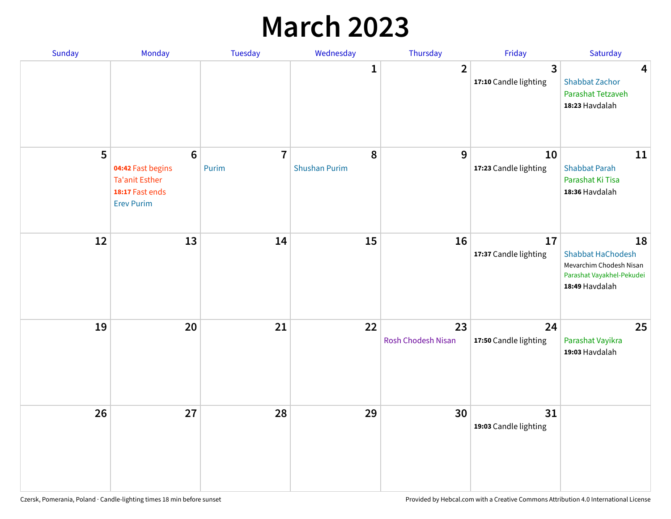## **March 2023**

| Sunday | Monday                                                                                                | Tuesday                 | Wednesday                 | Thursday                 | Friday                      | Saturday                                                                                                 |
|--------|-------------------------------------------------------------------------------------------------------|-------------------------|---------------------------|--------------------------|-----------------------------|----------------------------------------------------------------------------------------------------------|
|        |                                                                                                       |                         | 1                         | $\overline{2}$           | 3<br>17:10 Candle lighting  | $\overline{\mathbf{4}}$<br><b>Shabbat Zachor</b><br>Parashat Tetzaveh<br>18:23 Havdalah                  |
| 5      | $6\phantom{1}6$<br>04:42 Fast begins<br><b>Ta'anit Esther</b><br>18:17 Fast ends<br><b>Erev Purim</b> | $\overline{7}$<br>Purim | 8<br><b>Shushan Purim</b> | 9                        | 10<br>17:23 Candle lighting | 11<br><b>Shabbat Parah</b><br>Parashat Ki Tisa<br>18:36 Havdalah                                         |
| 12     | 13                                                                                                    | 14                      | 15                        | 16                       | 17<br>17:37 Candle lighting | 18<br><b>Shabbat HaChodesh</b><br>Mevarchim Chodesh Nisan<br>Parashat Vayakhel-Pekudei<br>18:49 Havdalah |
| 19     | 20                                                                                                    | 21                      | 22                        | 23<br>Rosh Chodesh Nisan | 24<br>17:50 Candle lighting | 25<br>Parashat Vayikra<br>19:03 Havdalah                                                                 |
| 26     | 27                                                                                                    | 28                      | 29                        | 30                       | 31<br>19:03 Candle lighting |                                                                                                          |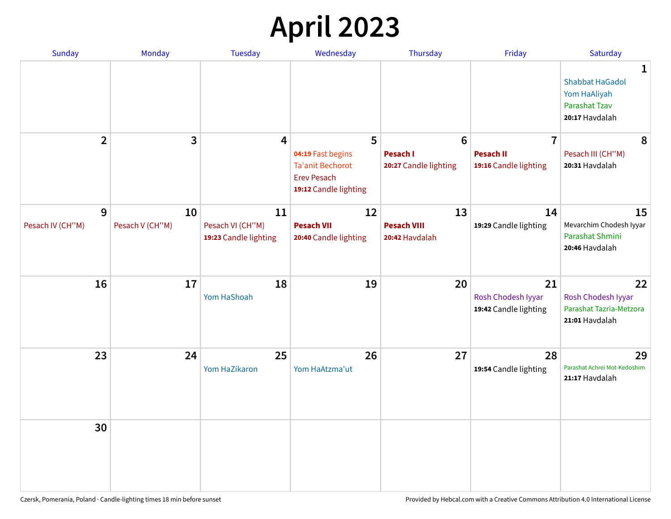# **April 2023**

| Sunday           | Monday          | <b>Tuesday</b>                            | Wednesday                                                                                   | Thursday                                 | Friday                                            | Saturday                                                                              |
|------------------|-----------------|-------------------------------------------|---------------------------------------------------------------------------------------------|------------------------------------------|---------------------------------------------------|---------------------------------------------------------------------------------------|
|                  |                 |                                           |                                                                                             |                                          |                                                   | 1<br><b>Shabbat HaGadol</b><br>Yom HaAliyah<br><b>Parashat Tzav</b><br>20:17 Havdalah |
| $\overline{2}$   | 3               | 4                                         | 5                                                                                           | $6\phantom{1}6$                          | $\overline{7}$                                    | 8                                                                                     |
|                  |                 |                                           | 04:19 Fast begins<br><b>Ta'anit Bechorot</b><br><b>Erev Pesach</b><br>19:12 Candle lighting | <b>Pesach I</b><br>20:27 Candle lighting | <b>Pesach II</b><br>19:16 Candle lighting         | Pesach III (CH"M)<br>20:31 Havdalah                                                   |
| 9                | 10              | 11                                        | 12                                                                                          | 13                                       | 14                                                | 15                                                                                    |
| Pesach IV (CH"M) | Pesach V (CH"M) | Pesach VI (CH"M)<br>19:23 Candle lighting | <b>Pesach VII</b><br>20:40 Candle lighting                                                  | <b>Pesach VIII</b><br>20:42 Havdalah     | 19:29 Candle lighting                             | Mevarchim Chodesh Iyyar<br>Parashat Shmini<br>20:46 Havdalah                          |
| 16               | 17              | 18<br>Yom HaShoah                         | 19                                                                                          | 20                                       | 21<br>Rosh Chodesh Iyyar<br>19:42 Candle lighting | 22<br>Rosh Chodesh Iyyar<br>Parashat Tazria-Metzora<br>21:01 Havdalah                 |
| 23               | 24              | 25<br>Yom HaZikaron                       | 26<br>Yom HaAtzma'ut                                                                        | 27                                       | 28<br>19:54 Candle lighting                       | 29<br>Parashat Achrei Mot-Kedoshim<br>21:17 Havdalah                                  |
| 30               |                 |                                           |                                                                                             |                                          |                                                   |                                                                                       |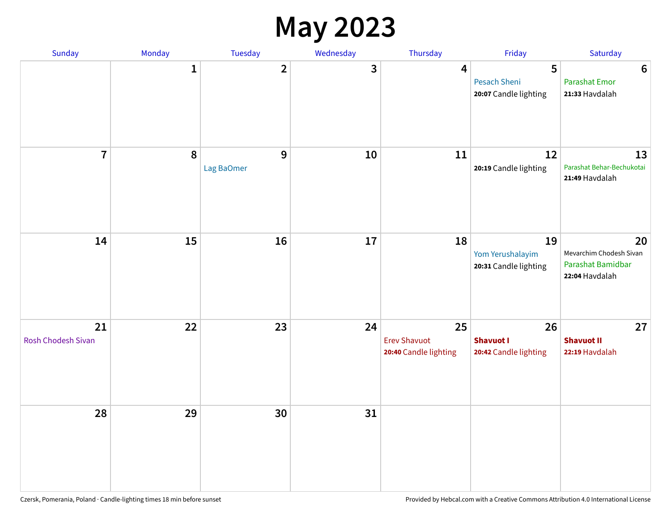#### **May 2023**

| Sunday                   | Monday       | Tuesday                    | Wednesday | Thursday                                           | Friday                                          | Saturday                                                             |
|--------------------------|--------------|----------------------------|-----------|----------------------------------------------------|-------------------------------------------------|----------------------------------------------------------------------|
|                          | $\mathbf{1}$ | $\mathbf{2}$               | 3         | 4                                                  | 5<br>Pesach Sheni<br>20:07 Candle lighting      | $6\phantom{1}6$<br><b>Parashat Emor</b><br>21:33 Havdalah            |
| $\overline{7}$           | $\pmb{8}$    | $\mathbf{9}$<br>Lag BaOmer | 10        | 11                                                 | 12<br>20:19 Candle lighting                     | 13<br>Parashat Behar-Bechukotai<br>21:49 Havdalah                    |
| 14                       | 15           | 16                         | 17        | 18                                                 | 19<br>Yom Yerushalayim<br>20:31 Candle lighting | 20<br>Mevarchim Chodesh Sivan<br>Parashat Bamidbar<br>22:04 Havdalah |
| 21<br>Rosh Chodesh Sivan | 22           | 23                         | 24        | 25<br><b>Erev Shavuot</b><br>20:40 Candle lighting | 26<br><b>Shavuot I</b><br>20:42 Candle lighting | 27<br><b>Shavuot II</b><br>22:19 Havdalah                            |
| 28                       | 29           | 30                         | 31        |                                                    |                                                 |                                                                      |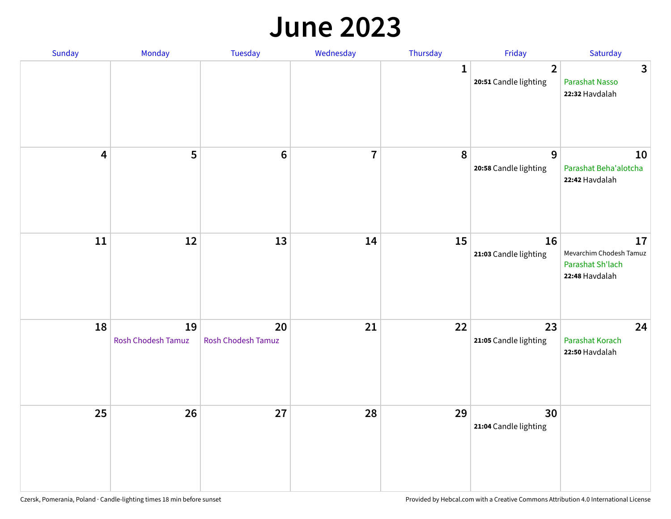#### **June 2023**

| Sunday                  | Monday                   | Tuesday                         | Wednesday      | Thursday     | Friday                                  | Saturday                                                            |
|-------------------------|--------------------------|---------------------------------|----------------|--------------|-----------------------------------------|---------------------------------------------------------------------|
|                         |                          |                                 |                | $\mathbf{1}$ | $\overline{2}$<br>20:51 Candle lighting | $\mathbf{3}$<br>Parashat Nasso<br>22:32 Havdalah                    |
| $\overline{\mathbf{4}}$ | 5                        | $\bf 6$                         | $\overline{7}$ | 8            | 9<br>20:58 Candle lighting              | 10<br>Parashat Beha'alotcha<br>22:42 Havdalah                       |
| $11\,$                  | 12                       | 13                              | 14             | 15           | 16<br>21:03 Candle lighting             | 17<br>Mevarchim Chodesh Tamuz<br>Parashat Sh'lach<br>22:48 Havdalah |
| 18                      | 19<br>Rosh Chodesh Tamuz | 20<br><b>Rosh Chodesh Tamuz</b> | 21             | 22           | 23<br>21:05 Candle lighting             | 24<br>Parashat Korach<br>22:50 Havdalah                             |
| 25                      | 26                       | 27                              | 28             | 29           | 30<br>21:04 Candle lighting             |                                                                     |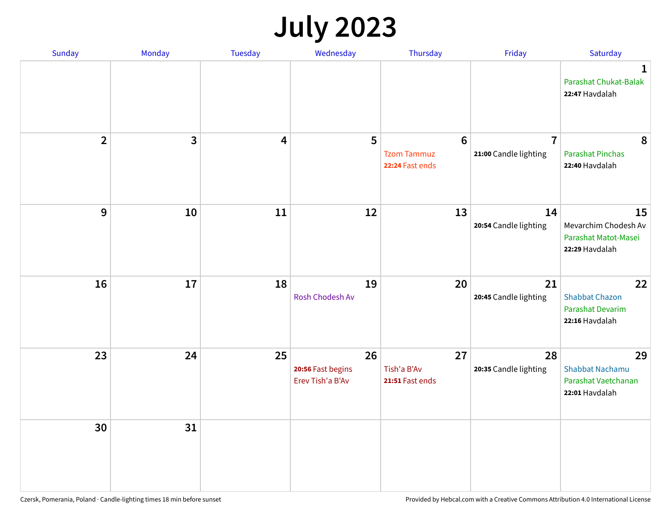## **July 2023**

| Sunday         | Monday       | <b>Tuesday</b> | Wednesday                                   | Thursday                                                 | Friday                                  | Saturday                                                              |
|----------------|--------------|----------------|---------------------------------------------|----------------------------------------------------------|-----------------------------------------|-----------------------------------------------------------------------|
|                |              |                |                                             |                                                          |                                         | $\mathbf 1$<br>Parashat Chukat-Balak<br>22:47 Havdalah                |
| $\overline{2}$ | $\mathbf{3}$ | 4              | 5                                           | $6\phantom{1}6$<br><b>Tzom Tammuz</b><br>22:24 Fast ends | $\overline{7}$<br>21:00 Candle lighting | 8<br><b>Parashat Pinchas</b><br>22:40 Havdalah                        |
| 9              | 10           | 11             | 12                                          | 13                                                       | 14<br>20:54 Candle lighting             | 15<br>Mevarchim Chodesh Av<br>Parashat Matot-Masei<br>22:29 Havdalah  |
| 16             | 17           | 18             | 19<br>Rosh Chodesh Av                       | 20                                                       | 21<br>20:45 Candle lighting             | 22<br><b>Shabbat Chazon</b><br>Parashat Devarim<br>22:16 Havdalah     |
| 23             | 24           | 25             | 26<br>20:56 Fast begins<br>Erev Tish'a B'Av | 27<br>Tish'a B'Av<br>21:51 Fast ends                     | 28<br>20:35 Candle lighting             | 29<br><b>Shabbat Nachamu</b><br>Parashat Vaetchanan<br>22:01 Havdalah |
| 30             | 31           |                |                                             |                                                          |                                         |                                                                       |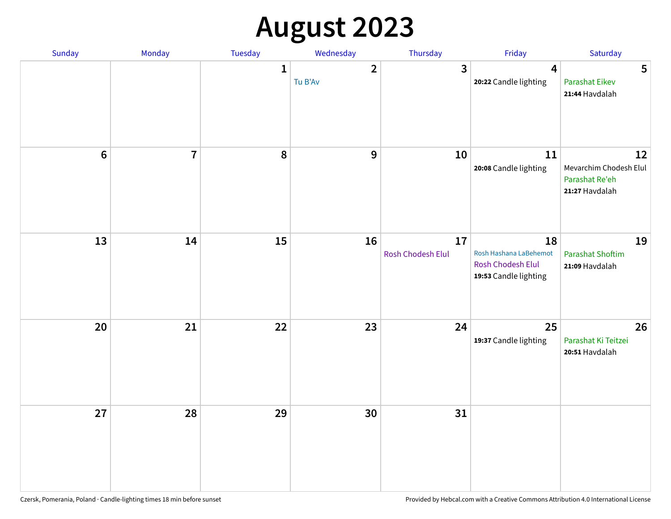# **August 2023**

| Sunday | Monday         | Tuesday      | Wednesday                 | Thursday                | Friday                                                                            | Saturday                                                         |
|--------|----------------|--------------|---------------------------|-------------------------|-----------------------------------------------------------------------------------|------------------------------------------------------------------|
|        |                | $\mathbf{1}$ | $\overline{2}$<br>Tu B'Av | $\mathbf{3}$            | $\overline{\mathbf{4}}$<br>20:22 Candle lighting                                  | 5<br><b>Parashat Eikev</b><br>21:44 Havdalah                     |
| $6\,$  | $\overline{7}$ | 8            | $\mathbf{9}$              | 10                      | 11<br>20:08 Candle lighting                                                       | 12<br>Mevarchim Chodesh Elul<br>Parashat Re'eh<br>21:27 Havdalah |
| 13     | 14             | 15           | 16                        | 17<br>Rosh Chodesh Elul | 18<br>Rosh Hashana LaBehemot<br><b>Rosh Chodesh Elul</b><br>19:53 Candle lighting | 19<br><b>Parashat Shoftim</b><br>21:09 Havdalah                  |
| 20     | 21             | 22           | 23                        | 24                      | 25<br>19:37 Candle lighting                                                       | 26<br>Parashat Ki Teitzei<br>20:51 Havdalah                      |
| 27     | 28             | 29           | 30                        | 31                      |                                                                                   |                                                                  |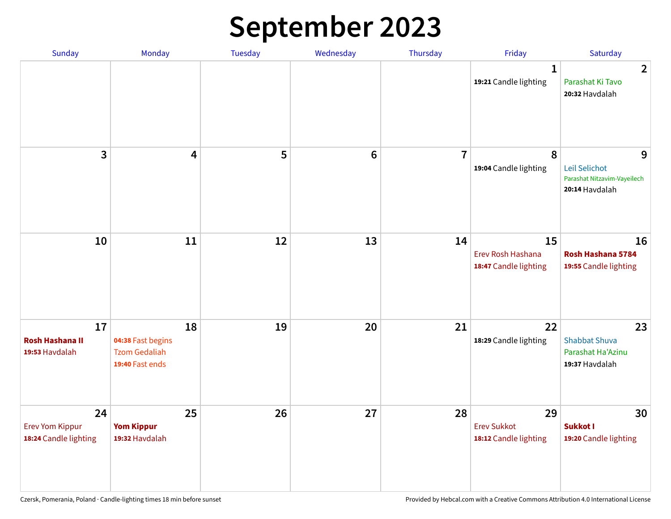# **September 2023**

| Sunday                                                | Monday                                                             | <b>Tuesday</b> | Wednesday       | Thursday       | Friday                                            | Saturday                                                            |
|-------------------------------------------------------|--------------------------------------------------------------------|----------------|-----------------|----------------|---------------------------------------------------|---------------------------------------------------------------------|
|                                                       |                                                                    |                |                 |                | 1<br>19:21 Candle lighting                        | $\overline{2}$<br>Parashat Ki Tavo<br>20:32 Havdalah                |
| 3                                                     | $\overline{\mathbf{4}}$                                            | 5              | $6\phantom{1}6$ | $\overline{7}$ | 8<br>19:04 Candle lighting                        | 9<br>Leil Selichot<br>Parashat Nitzavim-Vayeilech<br>20:14 Havdalah |
| 10                                                    | 11                                                                 | 12             | 13              | 14             | 15<br>Erev Rosh Hashana<br>18:47 Candle lighting  | 16<br>Rosh Hashana 5784<br>19:55 Candle lighting                    |
| 17<br><b>Rosh Hashana II</b><br>19:53 Havdalah        | 18<br>04:38 Fast begins<br><b>Tzom Gedaliah</b><br>19:40 Fast ends | 19             | 20              | 21             | 22<br>18:29 Candle lighting                       | 23<br><b>Shabbat Shuva</b><br>Parashat Ha'Azinu<br>19:37 Havdalah   |
| 24<br><b>Erev Yom Kippur</b><br>18:24 Candle lighting | 25<br><b>Yom Kippur</b><br>19:32 Havdalah                          | 26             | 27              | 28             | 29<br><b>Erev Sukkot</b><br>18:12 Candle lighting | 30<br>Sukkot I<br>19:20 Candle lighting                             |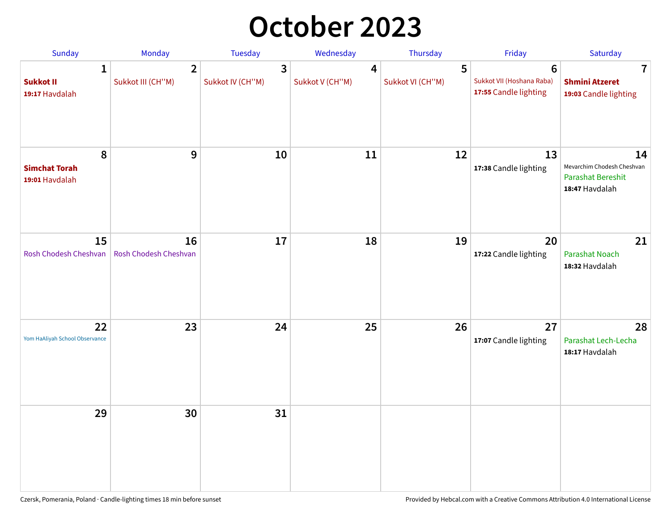## **October 2023**

| Sunday                                             | Monday                              | <b>Tuesday</b>        | Wednesday                         | Thursday              | Friday                                                               | Saturday                                                                       |
|----------------------------------------------------|-------------------------------------|-----------------------|-----------------------------------|-----------------------|----------------------------------------------------------------------|--------------------------------------------------------------------------------|
| $\mathbf{1}$<br><b>Sukkot II</b><br>19:17 Havdalah | $\overline{2}$<br>Sukkot III (CH"M) | 3<br>Sukkot IV (CH"M) | $\overline{4}$<br>Sukkot V (CH"M) | 5<br>Sukkot VI (CH"M) | $6\phantom{1}$<br>Sukkot VII (Hoshana Raba)<br>17:55 Candle lighting | $\overline{\mathbf{7}}$<br><b>Shmini Atzeret</b><br>19:03 Candle lighting      |
| 8<br><b>Simchat Torah</b><br>19:01 Havdalah        | 9                                   | 10                    | 11                                | 12                    | 13<br>17:38 Candle lighting                                          | 14<br>Mevarchim Chodesh Cheshvan<br><b>Parashat Bereshit</b><br>18:47 Havdalah |
| 15<br>Rosh Chodesh Cheshvan                        | 16<br>Rosh Chodesh Cheshvan         | 17                    | 18                                | 19                    | 20<br>17:22 Candle lighting                                          | 21<br><b>Parashat Noach</b><br>18:32 Havdalah                                  |
| 22<br>Yom HaAliyah School Observance               | 23                                  | 24                    | 25                                | 26                    | 27<br>17:07 Candle lighting                                          | 28<br>Parashat Lech-Lecha<br>18:17 Havdalah                                    |
| 29                                                 | 30                                  | 31                    |                                   |                       |                                                                      |                                                                                |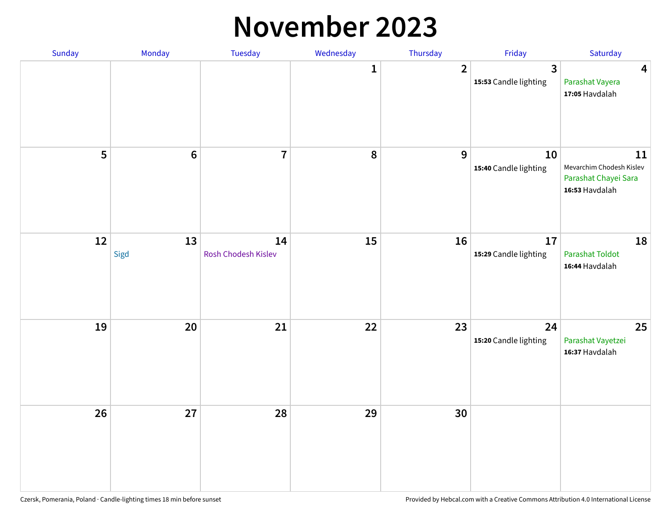#### **November 2023**

| Sunday | Monday          | Tuesday                   | Wednesday | Thursday       | Friday                      | Saturday                                                                 |
|--------|-----------------|---------------------------|-----------|----------------|-----------------------------|--------------------------------------------------------------------------|
|        |                 |                           | 1         | $\overline{2}$ | 3<br>15:53 Candle lighting  | $\overline{\mathbf{4}}$<br>Parashat Vayera<br>17:05 Havdalah             |
| 5      | $6\phantom{1}6$ | $\overline{1}$            | 8         | 9              | 10<br>15:40 Candle lighting | 11<br>Mevarchim Chodesh Kislev<br>Parashat Chayei Sara<br>16:53 Havdalah |
| 12     | 13<br>Sigd      | 14<br>Rosh Chodesh Kislev | 15        | 16             | 17<br>15:29 Candle lighting | 18<br><b>Parashat Toldot</b><br>16:44 Havdalah                           |
| 19     | 20              | 21                        | 22        | 23             | 24<br>15:20 Candle lighting | 25<br>Parashat Vayetzei<br>16:37 Havdalah                                |
| 26     | 27              | 28                        | 29        | 30             |                             |                                                                          |